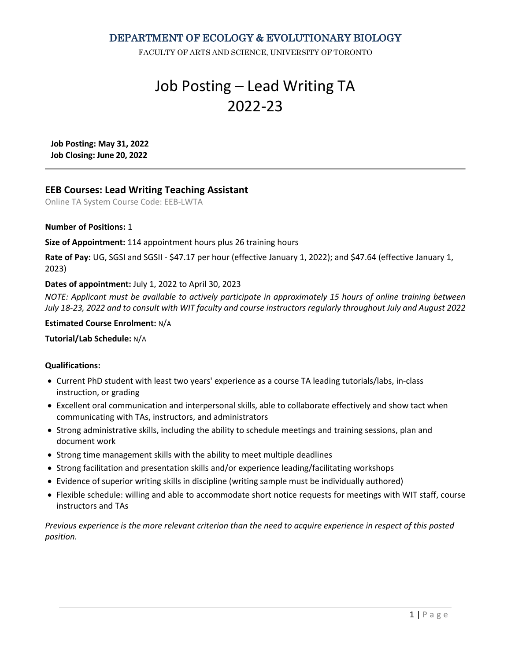DEPARTMENT OF ECOLOGY & EVOLUTIONARY BIOLOGY

FACULTY OF ARTS AND SCIENCE, UNIVERSITY OF TORONTO

# Job Posting – Lead Writing TA 2022-23

**Job Posting: May 31, 2022 Job Closing: June 20, 2022**

# **EEB Courses: Lead Writing Teaching Assistant**

Online TA System Course Code: EEB-LWTA

# **Number of Positions:** 1

**Size of Appointment:** 114 appointment hours plus 26 training hours

**Rate of Pay:** UG, SGSI and SGSII - \$47.17 per hour (effective January 1, 2022); and \$47.64 (effective January 1, 2023)

# **Dates of appointment:** July 1, 2022 to April 30, 2023

*NOTE: Applicant must be available to actively participate in approximately 15 hours of online training between July 18-23, 2022 and to consult with WIT faculty and course instructors regularly throughout July and August 2022*

#### **Estimated Course Enrolment:** N/A

# **Tutorial/Lab Schedule:** N/A

# **Qualifications:**

- Current PhD student with least two years' experience as a course TA leading tutorials/labs, in-class instruction, or grading
- Excellent oral communication and interpersonal skills, able to collaborate effectively and show tact when communicating with TAs, instructors, and administrators
- Strong administrative skills, including the ability to schedule meetings and training sessions, plan and document work
- Strong time management skills with the ability to meet multiple deadlines
- Strong facilitation and presentation skills and/or experience leading/facilitating workshops
- Evidence of superior writing skills in discipline (writing sample must be individually authored)
- Flexible schedule: willing and able to accommodate short notice requests for meetings with WIT staff, course instructors and TAs

*Previous experience is the more relevant criterion than the need to acquire experience in respect of this posted position.*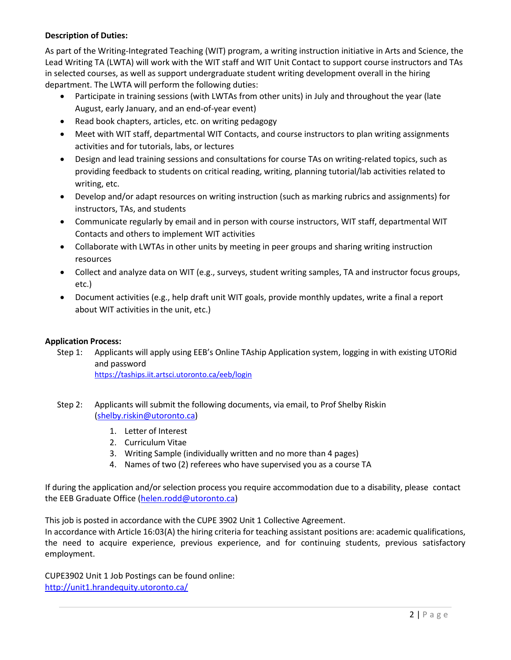# **Description of Duties:**

As part of the Writing-Integrated Teaching (WIT) program, a writing instruction initiative in Arts and Science, the Lead Writing TA (LWTA) will work with the WIT staff and WIT Unit Contact to support course instructors and TAs in selected courses, as well as support undergraduate student writing development overall in the hiring department. The LWTA will perform the following duties:

- Participate in training sessions (with LWTAs from other units) in July and throughout the year (late August, early January, and an end-of-year event)
- Read book chapters, articles, etc. on writing pedagogy
- Meet with WIT staff, departmental WIT Contacts, and course instructors to plan writing assignments activities and for tutorials, labs, or lectures
- Design and lead training sessions and consultations for course TAs on writing-related topics, such as providing feedback to students on critical reading, writing, planning tutorial/lab activities related to writing, etc.
- Develop and/or adapt resources on writing instruction (such as marking rubrics and assignments) for instructors, TAs, and students
- Communicate regularly by email and in person with course instructors, WIT staff, departmental WIT Contacts and others to implement WIT activities
- Collaborate with LWTAs in other units by meeting in peer groups and sharing writing instruction resources
- Collect and analyze data on WIT (e.g., surveys, student writing samples, TA and instructor focus groups, etc.)
- Document activities (e.g., help draft unit WIT goals, provide monthly updates, write a final a report about WIT activities in the unit, etc.)

# **Application Process:**

- Step 1: Applicants will apply using EEB's Online TAship Application system, logging in with existing UTORid and password <https://taships.iit.artsci.utoronto.ca/eeb/login>
- Step 2: Applicants will submit the following documents, via email, to Prof Shelby Riskin [\(shelby.riskin@utoronto.ca\)](mailto:shelby.riskin@utoronto.ca)
	- 1. Letter of Interest
	- 2. Curriculum Vitae
	- 3. Writing Sample (individually written and no more than 4 pages)
	- 4. Names of two (2) referees who have supervised you as a course TA

If during the application and/or selection process you require accommodation due to a disability, please contact the EEB Graduate Office [\(helen.rodd@utoronto.ca\)](mailto:helen.rodd@utoronto.ca)

This job is posted in accordance with the CUPE 3902 Unit 1 Collective Agreement.

In accordance with Article 16:03(A) the hiring criteria for teaching assistant positions are: academic qualifications, the need to acquire experience, previous experience, and for continuing students, previous satisfactory employment.

CUPE3902 Unit 1 Job Postings can be found online: <http://unit1.hrandequity.utoronto.ca/>